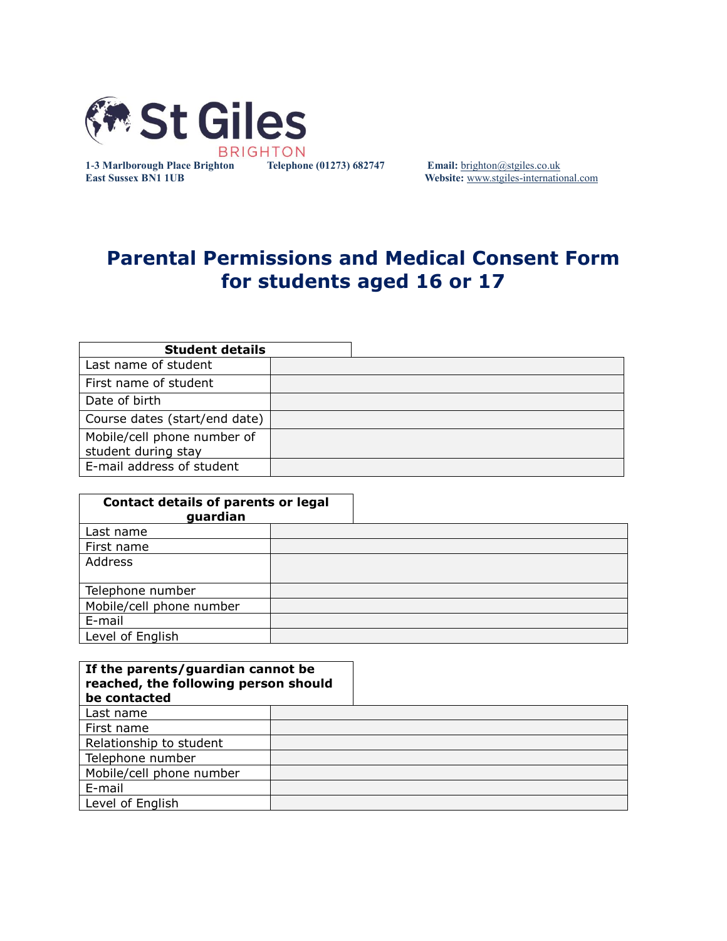

**1-3 Marlborough Place Brighton Telephone (01273) 682747 Email:** [brighton@stgiles.co.uk](mailto:brighton@stgiles.co.uk) **East Sussex BN1 1UB Website:** [www.stgiles-international.com](http://www.stgiles-international.com/)

# **Parental Permissions and Medical Consent Form for students aged 16 or 17**

| <b>Student details</b>        |  |  |
|-------------------------------|--|--|
| Last name of student          |  |  |
| First name of student         |  |  |
| Date of birth                 |  |  |
| Course dates (start/end date) |  |  |
| Mobile/cell phone number of   |  |  |
| student during stay           |  |  |
| E-mail address of student     |  |  |

| <b>Contact details of parents or legal</b><br>guardian |  |
|--------------------------------------------------------|--|
| Last name                                              |  |
| First name                                             |  |
| Address                                                |  |
| Telephone number                                       |  |
| Mobile/cell phone number                               |  |
| E-mail                                                 |  |
| Level of English                                       |  |

| If the parents/guardian cannot be<br>reached, the following person should<br>be contacted |  |  |
|-------------------------------------------------------------------------------------------|--|--|
| Last name                                                                                 |  |  |
| First name                                                                                |  |  |
| Relationship to student                                                                   |  |  |
| Telephone number                                                                          |  |  |
| Mobile/cell phone number                                                                  |  |  |
| E-mail                                                                                    |  |  |
| Level of English                                                                          |  |  |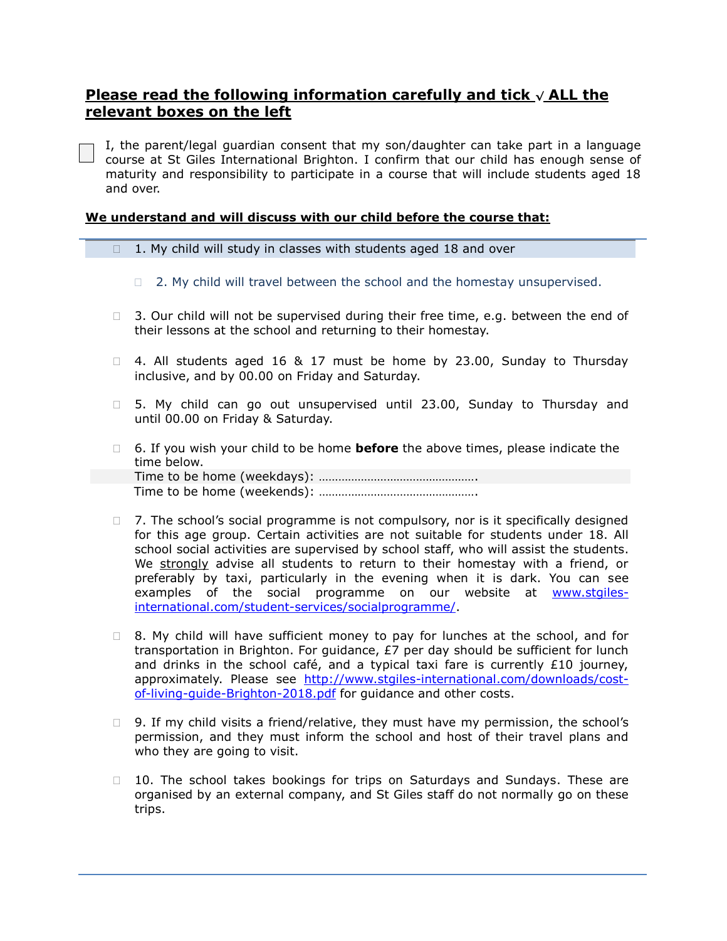## **Please read the following information carefully and tick <sup>√</sup> ALL the relevant boxes on the left**

I, the parent/legal guardian consent that my son/daughter can take part in a language course at St Giles International Brighton. I confirm that our child has enough sense of maturity and responsibility to participate in a course that will include students aged 18 and over.

#### **We understand and will discuss with our child before the course that:**

- $\Box$  1. My child will study in classes with students aged 18 and over
	- $\Box$  2. My child will travel between the school and the homestay unsupervised.
- $\Box$  3. Our child will not be supervised during their free time, e.g. between the end of their lessons at the school and returning to their homestay.
- $\Box$  4. All students aged 16 & 17 must be home by 23.00, Sunday to Thursday inclusive, and by 00.00 on Friday and Saturday.
- □ 5. My child can go out unsupervised until 23.00, Sunday to Thursday and until 00.00 on Friday & Saturday.
- 6. If you wish your child to be home **before** the above times, please indicate the time below. Time to be home (weekdays): …………………………………………. Time to be home (weekends): ………………………………………….
- $\Box$  7. The school's social programme is not compulsory, nor is it specifically designed for this age group. Certain activities are not suitable for students under 18. All school social activities are supervised by school staff, who will assist the students. We strongly advise all students to return to their homestay with a friend, or preferably by taxi, particularly in the evening when it is dark. You can see examples of the social programme on our website at [www.stgiles](http://www.stgiles-international.com/student-services/socialprogramme/)[international.com/student-services/socialprogramme/.](http://www.stgiles-international.com/student-services/socialprogramme/)
- $\Box$  8. My child will have sufficient money to pay for lunches at the school, and for transportation in Brighton. For guidance, £7 per day should be sufficient for lunch and drinks in the school café, and a typical taxi fare is currently  $£10$  journey, approximately. Please see [http://www.stgiles-international.com/downloads/cost](http://www.stgiles-international.com/downloads/cost-of-living-guide-Brighton-2018.pdf)[of-living-guide-Brighton-2018.pdf](http://www.stgiles-international.com/downloads/cost-of-living-guide-Brighton-2018.pdf) for guidance and other costs.
- $\Box$  9. If my child visits a friend/relative, they must have my permission, the school's permission, and they must inform the school and host of their travel plans and who they are going to visit.
- $\Box$  10. The school takes bookings for trips on Saturdays and Sundays. These are organised by an external company, and St Giles staff do not normally go on these trips.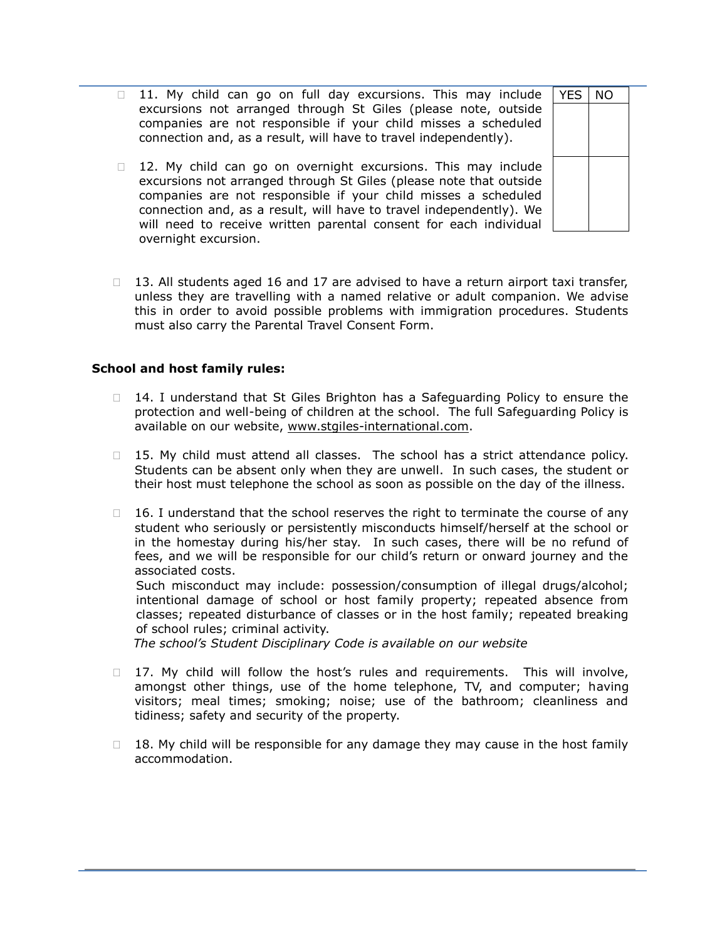- 11. My child can go on full day excursions. This may include excursions not arranged through St Giles (please note, outside companies are not responsible if your child misses a scheduled connection and, as a result, will have to travel independently). YES | NO
- $\Box$  12. My child can go on overnight excursions. This may include excursions not arranged through St Giles (please note that outside companies are not responsible if your child misses a scheduled connection and, as a result, will have to travel independently). We will need to receive written parental consent for each individual overnight excursion.
- $\Box$  13. All students aged 16 and 17 are advised to have a return airport taxi transfer, unless they are travelling with a named relative or adult companion. We advise this in order to avoid possible problems with immigration procedures. Students must also carry the Parental Travel Consent Form.

#### **School and host family rules:**

- $\Box$  14. I understand that St Giles Brighton has a Safeguarding Policy to ensure the protection and well-being of children at the school. The full Safeguarding Policy is available on our website, www.stgiles-international.com.
- $\Box$  15. My child must attend all classes. The school has a strict attendance policy. Students can be absent only when they are unwell. In such cases, the student or their host must telephone the school as soon as possible on the day of the illness.
- $\Box$  16. I understand that the school reserves the right to terminate the course of any student who seriously or persistently misconducts himself/herself at the school or in the homestay during his/her stay. In such cases, there will be no refund of fees, and we will be responsible for our child's return or onward journey and the associated costs. Such misconduct may include: possession/consumption of illegal drugs/alcohol; intentional damage of school or host family property; repeated absence from

classes; repeated disturbance of classes or in the host family; repeated breaking of school rules; criminal activity.

 *The school's Student Disciplinary Code is available on our website*

- $\Box$  17. My child will follow the host's rules and requirements. This will involve, amongst other things, use of the home telephone, TV, and computer; having visitors; meal times; smoking; noise; use of the bathroom; cleanliness and tidiness; safety and security of the property.
- $18.$  My child will be responsible for any damage they may cause in the host family accommodation.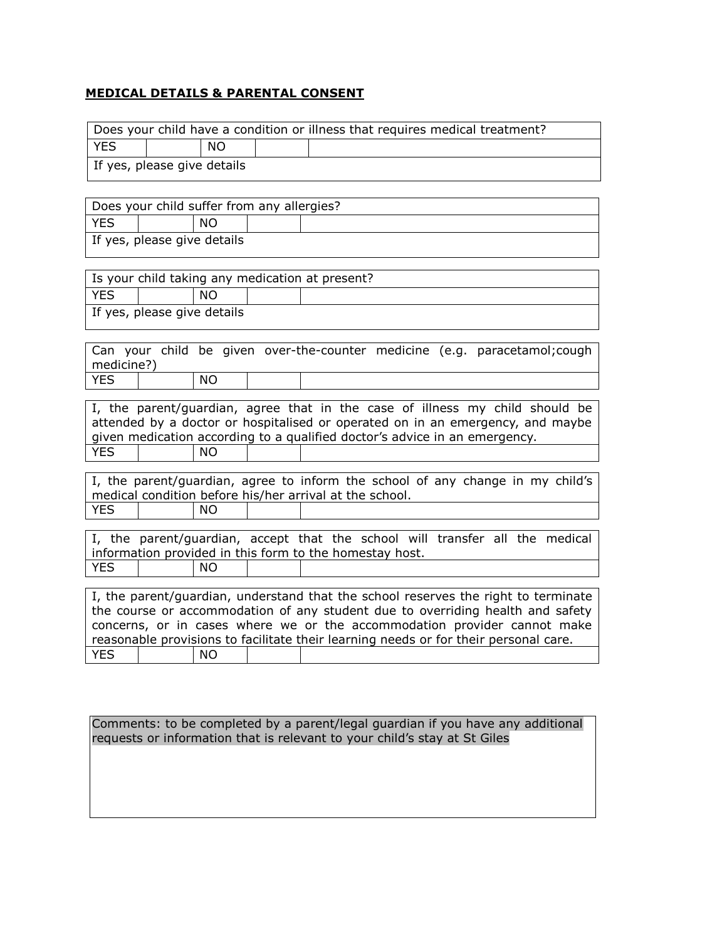### **MEDICAL DETAILS & PARENTAL CONSENT**

| <b>YES</b><br><b>NO</b><br>If yes, please give details<br>Does your child suffer from any allergies?<br><b>YES</b><br><b>NO</b><br>If yes, please give details<br>Is your child taking any medication at present?<br><b>YES</b><br><b>NO</b><br>If yes, please give details                                                              |
|------------------------------------------------------------------------------------------------------------------------------------------------------------------------------------------------------------------------------------------------------------------------------------------------------------------------------------------|
|                                                                                                                                                                                                                                                                                                                                          |
|                                                                                                                                                                                                                                                                                                                                          |
|                                                                                                                                                                                                                                                                                                                                          |
|                                                                                                                                                                                                                                                                                                                                          |
|                                                                                                                                                                                                                                                                                                                                          |
|                                                                                                                                                                                                                                                                                                                                          |
|                                                                                                                                                                                                                                                                                                                                          |
|                                                                                                                                                                                                                                                                                                                                          |
|                                                                                                                                                                                                                                                                                                                                          |
|                                                                                                                                                                                                                                                                                                                                          |
| Can your child be given over-the-counter medicine (e.g. paracetamol; cough<br>medicine?)                                                                                                                                                                                                                                                 |
| <b>YES</b><br><b>NO</b>                                                                                                                                                                                                                                                                                                                  |
| I, the parent/guardian, agree that in the case of illness my child should be<br>attended by a doctor or hospitalised or operated on in an emergency, and maybe<br>given medication according to a qualified doctor's advice in an emergency.<br><b>YES</b><br><b>NO</b>                                                                  |
|                                                                                                                                                                                                                                                                                                                                          |
| I, the parent/guardian, agree to inform the school of any change in my child's<br>medical condition before his/her arrival at the school.                                                                                                                                                                                                |
| <b>YES</b><br>NO                                                                                                                                                                                                                                                                                                                         |
| I, the parent/guardian, accept that the school will transfer all the medical<br>information provided in this form to the homestay host.<br><b>YES</b><br>NΟ                                                                                                                                                                              |
|                                                                                                                                                                                                                                                                                                                                          |
| I, the parent/guardian, understand that the school reserves the right to terminate<br>the course or accommodation of any student due to overriding health and safety<br>concerns, or in cases where we or the accommodation provider cannot make<br>reasonable provisions to facilitate their learning needs or for their personal care. |
| YES<br><b>NO</b>                                                                                                                                                                                                                                                                                                                         |

Comments: to be completed by a parent/legal guardian if you have any additional requests or information that is relevant to your child's stay at St Giles